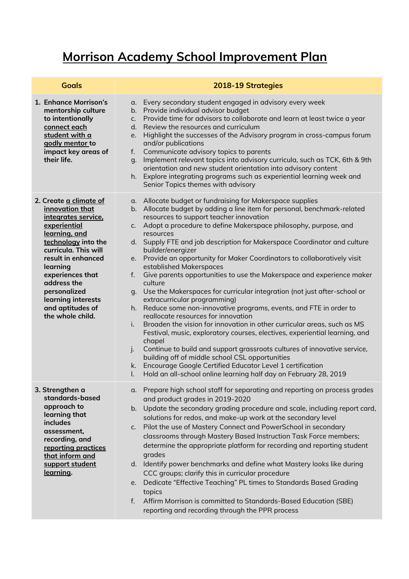## **Morrison Academy School Improvement Plan**

| <b>Goals</b>                                                                                                                                                                                                                                                                                        | 2018-19 Strategies                                                                                                                                                                                                                                                                                                                                                                                                                                                                                                                                                                                                                                                                                                                                                                                                                                                                                                                                                                                                                                                                                                                                                                                                                                                    |
|-----------------------------------------------------------------------------------------------------------------------------------------------------------------------------------------------------------------------------------------------------------------------------------------------------|-----------------------------------------------------------------------------------------------------------------------------------------------------------------------------------------------------------------------------------------------------------------------------------------------------------------------------------------------------------------------------------------------------------------------------------------------------------------------------------------------------------------------------------------------------------------------------------------------------------------------------------------------------------------------------------------------------------------------------------------------------------------------------------------------------------------------------------------------------------------------------------------------------------------------------------------------------------------------------------------------------------------------------------------------------------------------------------------------------------------------------------------------------------------------------------------------------------------------------------------------------------------------|
| 1. Enhance Morrison's<br>mentorship culture<br>to intentionally<br>connect each<br>student with a<br>godly mentor to<br>impact key areas of<br>their life.                                                                                                                                          | Every secondary student engaged in advisory every week<br>α.<br>Provide individual advisor budget<br>b.<br>Provide time for advisors to collaborate and learn at least twice a year<br>$C_{1}$<br>Review the resources and curriculum<br>d.<br>Highlight the successes of the Advisory program in cross-campus forum<br>e.<br>and/or publications<br>Communicate advisory topics to parents<br>f.<br>Implement relevant topics into advisory curricula, such as TCK, 6th & 9th<br>g.<br>orientation and new student orientation into advisory content<br>Explore integrating programs such as experiential learning week and<br>h.<br>Senior Topics themes with advisory                                                                                                                                                                                                                                                                                                                                                                                                                                                                                                                                                                                              |
| 2. Create a climate of<br>innovation that<br>integrates service.<br>experiential<br>learning, and<br>technology into the<br>curricula. This will<br>result in enhanced<br>learning<br>experiences that<br>address the<br>personalized<br>learning interests<br>and aptitudes of<br>the whole child. | a. Allocate budget or fundraising for Makerspace supplies<br>b. Allocate budget by adding a line item for personal, benchmark-related<br>resources to support teacher innovation<br>Adopt a procedure to define Makerspace philosophy, purpose, and<br>C.<br>resources<br>d. Supply FTE and job description for Makerspace Coordinator and culture<br>builder/energizer<br>e. Provide an opportunity for Maker Coordinators to collaboratively visit<br>established Makerspaces<br>Give parents opportunities to use the Makerspace and experience maker<br>f.<br>culture<br>Use the Makerspaces for curricular integration (not just after-school or<br>q.<br>extracurricular programming)<br>h. Reduce some non-innovative programs, events, and FTE in order to<br>reallocate resources for innovation<br>Broaden the vision for innovation in other curricular areas, such as MS<br>i.<br>Festival, music, exploratory courses, electives, experiential learning, and<br>chapel<br>Continue to build and support grassroots cultures of innovative service,<br>j.<br>building off of middle school CSL opportunities<br>Encourage Google Certified Educator Level 1 certification<br>k.<br>Hold an all-school online learning half day on February 28, 2019<br>I. |
| 3. Strengthen a<br>standards-based<br>approach to<br>learning that<br>includes<br>assessment,<br>recording, and<br>reporting practices<br>that inform and<br>support student<br><u>learning</u> .                                                                                                   | a. Prepare high school staff for separating and reporting on process grades<br>and product grades in 2019-2020<br>Update the secondary grading procedure and scale, including report card,<br>$b_{1}$<br>solutions for redos, and make-up work at the secondary level<br>Pilot the use of Mastery Connect and PowerSchool in secondary<br>C.<br>classrooms through Mastery Based Instruction Task Force members;<br>determine the appropriate platform for recording and reporting student<br>grades<br>d. Identify power benchmarks and define what Mastery looks like during<br>CCC groups; clarify this in curricular procedure<br>Dedicate "Effective Teaching" PL times to Standards Based Grading<br>e.<br>topics<br>Affirm Morrison is committed to Standards-Based Education (SBE)<br>$f_{\cdot}$<br>reporting and recording through the PPR process                                                                                                                                                                                                                                                                                                                                                                                                          |